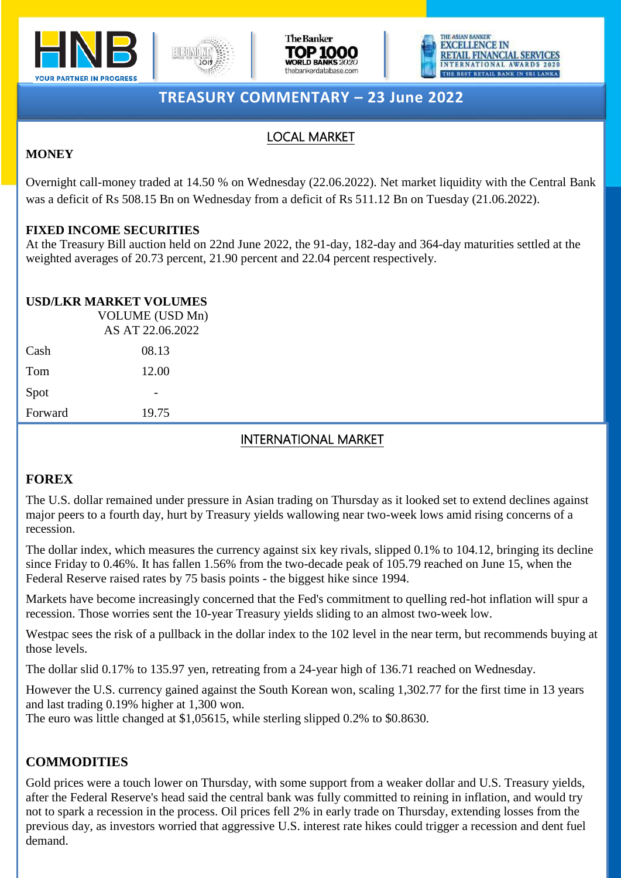







# **TREASURY COMMENTARY – 23 June 2022**

## LOCAL MARKET

### **MONEY**

Overnight call-money traded at 14.50 % on Wednesday (22.06.2022). Net market liquidity with the Central Bank was a deficit of Rs 508.15 Bn on Wednesday from a deficit of Rs 511.12 Bn on Tuesday (21.06.2022).

### **FIXED INCOME SECURITIES**

At the Treasury Bill auction held on 22nd June 2022, the 91-day, 182-day and 364-day maturities settled at the weighted averages of 20.73 percent, 21.90 percent and 22.04 percent respectively.

### **USD/LKR MARKET VOLUMES**

|         | VOLUME (USD Mn)<br>AS AT 22.06.2022 |  |
|---------|-------------------------------------|--|
| Cash    | 08.13                               |  |
| Tom     | 12.00                               |  |
| Spot    |                                     |  |
| Forward | 19.75                               |  |

## INTERNATIONAL MARKET

## **FOREX**

The U.S. dollar remained under pressure in Asian trading on Thursday as it looked set to extend declines against major peers to a fourth day, hurt by Treasury yields wallowing near two-week lows amid rising concerns of a recession.

The dollar index, which measures the currency against six key rivals, slipped 0.1% to 104.12, bringing its decline since Friday to 0.46%. It has fallen 1.56% from the two-decade peak of 105.79 reached on June 15, when the Federal Reserve raised rates by 75 basis points - the biggest hike since 1994.

Markets have become increasingly concerned that the Fed's commitment to quelling red-hot inflation will spur a recession. Those worries sent the 10-year Treasury yields sliding to an almost two-week low.

Westpac sees the risk of a pullback in the dollar index to the 102 level in the near term, but recommends buying at those levels.

The dollar slid 0.17% to 135.97 yen, retreating from a 24-year high of 136.71 reached on Wednesday.

However the U.S. currency gained against the South Korean won, scaling 1,302.77 for the first time in 13 years and last trading 0.19% higher at 1,300 won.

The euro was little changed at \$1,05615, while sterling slipped 0.2% to \$0.8630.

## **COMMODITIES**

previous day, as investors worried that aggressive U.S. interest rate hikes could trigger a recession and dent fuel Gold prices were a touch lower on Thursday, with some support from a weaker dollar and U.S. Treasury yields, after the Federal Reserve's head said the central bank was fully committed to reining in inflation, and would try not to spark a recession in the process. Oil prices fell 2% in early trade on Thursday, extending losses from the demand.